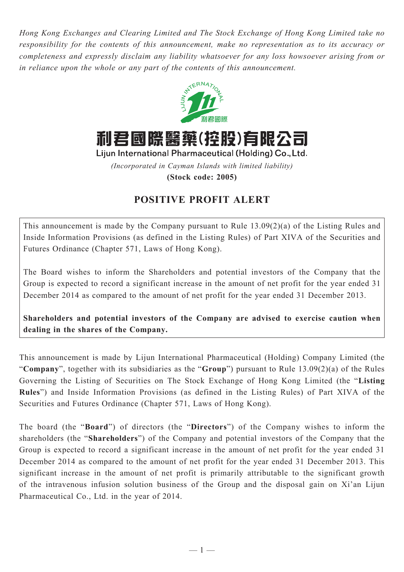*Hong Kong Exchanges and Clearing Limited and The Stock Exchange of Hong Kong Limited take no responsibility for the contents of this announcement, make no representation as to its accuracy or completeness and expressly disclaim any liability whatsoever for any loss howsoever arising from or in reliance upon the whole or any part of the contents of this announcement.*



利君國際醫藥(控股)有限公司

Lijun International Pharmaceutical (Holding) Co., Ltd.

*(Incorporated in Cayman Islands with limited liability)*

**(Stock code: 2005)**

## **POSITIVE PROFIT ALERT**

This announcement is made by the Company pursuant to Rule 13.09(2)(a) of the Listing Rules and Inside Information Provisions (as defined in the Listing Rules) of Part XIVA of the Securities and Futures Ordinance (Chapter 571, Laws of Hong Kong).

The Board wishes to inform the Shareholders and potential investors of the Company that the Group is expected to record a significant increase in the amount of net profit for the year ended 31 December 2014 as compared to the amount of net profit for the year ended 31 December 2013.

**Shareholders and potential investors of the Company are advised to exercise caution when dealing in the shares of the Company.**

This announcement is made by Lijun International Pharmaceutical (Holding) Company Limited (the "**Company**", together with its subsidiaries as the "**Group**") pursuant to Rule 13.09(2)(a) of the Rules Governing the Listing of Securities on The Stock Exchange of Hong Kong Limited (the "**Listing Rules**") and Inside Information Provisions (as defined in the Listing Rules) of Part XIVA of the Securities and Futures Ordinance (Chapter 571, Laws of Hong Kong).

The board (the "**Board**") of directors (the "**Directors**") of the Company wishes to inform the shareholders (the "**Shareholders**") of the Company and potential investors of the Company that the Group is expected to record a significant increase in the amount of net profit for the year ended 31 December 2014 as compared to the amount of net profit for the year ended 31 December 2013. This significant increase in the amount of net profit is primarily attributable to the significant growth of the intravenous infusion solution business of the Group and the disposal gain on Xi'an Lijun Pharmaceutical Co., Ltd. in the year of 2014.